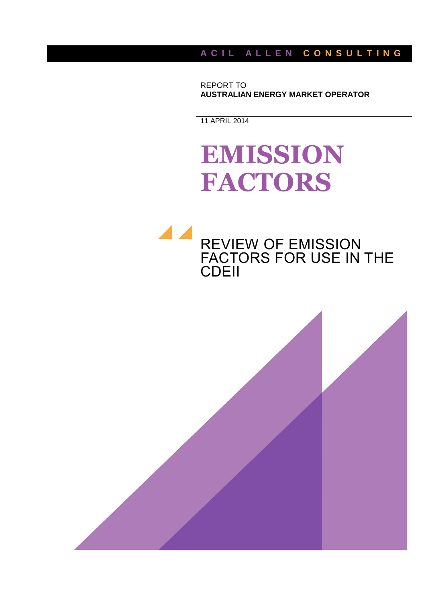A C I L A L L E N C O N S U L T I N G

REPORT TO **AUSTRALIAN ENERGY MARKET OPERATOR**

11 APRIL 2014

# **EMISSION FACTORS**

# REVIEW OF EMISSION FACTORS FOR USE IN THE CDEII

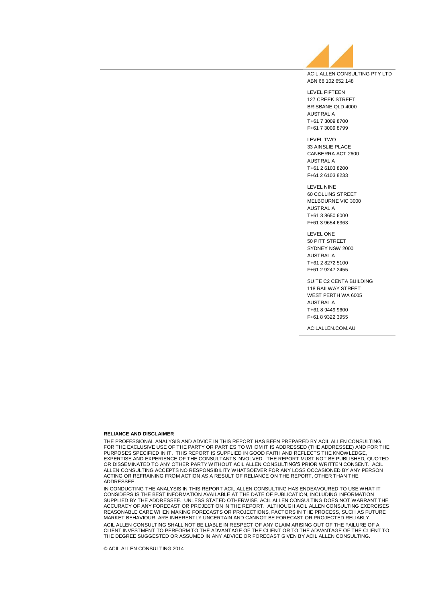

ABN 68 102 652 148

LEVEL FIFTEEN 127 CREEK STREET BRISBANE QLD 4000 AUSTRALIA T+61 7 3009 8700 F+61 7 3009 8799

LEVEL TWO 33 AINSLIE PLACE CANBERRA ACT 2600 AUSTRALIA T+61 2 6103 8200 F+61 2 6103 8233

LEVEL NINE 60 COLLINS STREET MELBOURNE VIC 3000 AUSTRALIA T+61 3 8650 6000 F+61 3 9654 6363

LEVEL ONE 50 PITT STREET SYDNEY NSW 2000 AUSTRALIA T+61 2 8272 5100 F+61 2 9247 2455

SUITE C2 CENTA BUILDING 118 RAILWAY STREET WEST PERTH WA 6005 AUSTRALIA T+61 8 9449 9600 F+61 8 9322 3955

ACILALLEN.COM.AU

#### **RELIANCE AND DISCLAIMER**

THE PROFESSIONAL ANALYSIS AND ADVICE IN THIS REPORT HAS BEEN PREPARED BY ACIL ALLEN CONSULTING FOR THE EXCLUSIVE USE OF THE PARTY OR PARTIES TO WHOM IT IS ADDRESSED (THE ADDRESSEE) AND FOR THE PURPOSES SPECIFIED IN IT. THIS REPORT IS SUPPLIED IN GOOD FAITH AND REFLECTS THE KNOWLEDGE, EXPERTISE AND EXPERIENCE OF THE CONSULTANTS INVOLVED. THE REPORT MUST NOT BE PUBLISHED, QUOTED OR DISSEMINATED TO ANY OTHER PARTY WITHOUT ACIL ALLEN CONSULTING'S PRIOR WRITTEN CONSENT. ACIL ALLEN CONSULTING ACCEPTS NO RESPONSIBILITY WHATSOEVER FOR ANY LOSS OCCASIONED BY ANY PERSON<br>ACTING OR REFRAINING FROM ACTION AS A RESULT OF RELIANCE ON THE REPORT, OTHER THAN THE ADDRESSEE.

IN CONDUCTING THE ANALYSIS IN THIS REPORT ACIL ALLEN CONSULTING HAS ENDEAVOURED TO USE WHAT IT<br>CONSIDERS IS THE BEST INFORMATION AVAILABLE AT THE DATE OF PUBLICATION, INCLUDING INFORMATION SUPPLIED BY THE ADDRESSEE. UNLESS STATED OTHERWISE, ACIL ALLEN CONSULTING DOES NOT WARRANT THE ACCURACY OF ANY FORECAST OR PROJECTION IN THE REPORT. ALTHOUGH ACIL ALLEN CONSULTING EXERCISES REASONABLE CARE WHEN MAKING FORECASTS OR PROJECTIONS, FACTORS IN THE PROCESS, SUCH AS FUTURE MARKET BEHAVIOUR, ARE INHERENTLY UNCERTAIN AND CANNOT BE FORECAST OR PROJECTED RELIABLY. ACIL ALLEN CONSULTING SHALL NOT BE LIABLE IN RESPECT OF ANY CLAIM ARISING OUT OF THE FAILURE OF A CLIENT INVESTMENT TO PERFORM TO THE ADVANTAGE OF THE CLIENT OR TO THE ADVANTAGE OF THE CLIENT TO THE DEGREE SUGGESTED OR ASSUMED IN ANY ADVICE OR FORECAST GIVEN BY ACIL ALLEN CONSULTING.

© ACIL ALLEN CONSULTING 2014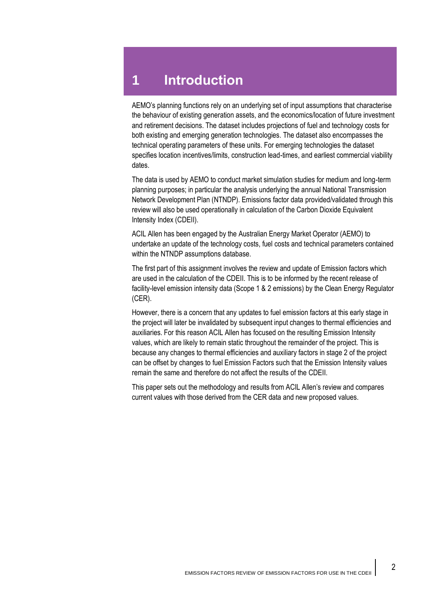AEMO's planning functions rely on an underlying set of input assumptions that characterise the behaviour of existing generation assets, and the economics/location of future investment and retirement decisions. The dataset includes projections of fuel and technology costs for both existing and emerging generation technologies. The dataset also encompasses the technical operating parameters of these units. For emerging technologies the dataset specifies location incentives/limits, construction lead-times, and earliest commercial viability dates.

The data is used by AEMO to conduct market simulation studies for medium and long-term planning purposes; in particular the analysis underlying the annual National Transmission Network Development Plan (NTNDP). Emissions factor data provided/validated through this review will also be used operationally in calculation of the Carbon Dioxide Equivalent Intensity Index (CDEII).

ACIL Allen has been engaged by the Australian Energy Market Operator (AEMO) to undertake an update of the technology costs, fuel costs and technical parameters contained within the NTNDP assumptions database.

The first part of this assignment involves the review and update of Emission factors which are used in the calculation of the CDEII. This is to be informed by the recent release of facility-level emission intensity data (Scope 1 & 2 emissions) by the Clean Energy Regulator (CER).

However, there is a concern that any updates to fuel emission factors at this early stage in the project will later be invalidated by subsequent input changes to thermal efficiencies and auxiliaries. For this reason ACIL Allen has focused on the resulting Emission Intensity values, which are likely to remain static throughout the remainder of the project. This is because any changes to thermal efficiencies and auxiliary factors in stage 2 of the project can be offset by changes to fuel Emission Factors such that the Emission Intensity values remain the same and therefore do not affect the results of the CDEII.

This paper sets out the methodology and results from ACIL Allen's review and compares current values with those derived from the CER data and new proposed values.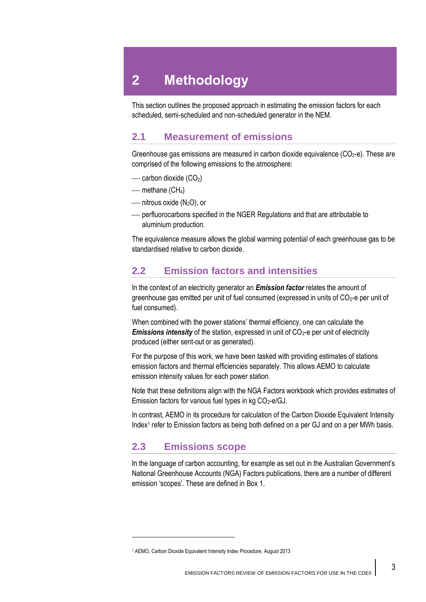# **2 Methodology**

This section outlines the proposed approach in estimating the emission factors for each scheduled, semi-scheduled and non-scheduled generator in the NEM.

## **2.1 Measurement of emissions**

Greenhouse gas emissions are measured in carbon dioxide equivalence  $(CO<sub>2</sub>-e)$ . These are comprised of the following emissions to the atmosphere:

- $\equiv$  carbon dioxide (CO<sub>2</sub>)
- $-$  methane (CH<sub>4</sub>)
- nitrous oxide (N<sub>2</sub>O), or
- perfluorocarbons specified in the NGER Regulations and that are attributable to aluminium production.

The equivalence measure allows the global warming potential of each greenhouse gas to be standardised relative to carbon dioxide.

# **2.2 Emission factors and intensities**

In the context of an electricity generator an *Emission factor* relates the amount of greenhouse gas emitted per unit of fuel consumed (expressed in units of  $CO<sub>2</sub>$ -e per unit of fuel consumed).

When combined with the power stations' thermal efficiency, one can calculate the *Emissions intensity* of the station, expressed in unit of CO<sub>2</sub>-e per unit of electricity produced (either sent-out or as generated).

For the purpose of this work, we have been tasked with providing estimates of stations emission factors and thermal efficiencies separately. This allows AEMO to calculate emission intensity values for each power station.

Note that these definitions align with the NGA Factors workbook which provides estimates of Emission factors for various fuel types in kg  $CO<sub>2</sub>-e/GJ$ .

In contrast, AEMO in its procedure for calculation of the Carbon Dioxide Equivalent Intensity Index<sup>1</sup> refer to Emission factors as being both defined on a per GJ and on a per MWh basis.

# **2.3 Emissions scope**

 $\overline{\phantom{a}}$ 

In the language of carbon accounting, for example as set out in the Australian Government's National Greenhouse Accounts (NGA) Factors publications, there are a number of different emission 'scopes'. These are defined in [Box](#page-4-0) 1.

<sup>1</sup> AEMO, Carbon Dioxide Equivalent Intensity Index Procedure, August 2013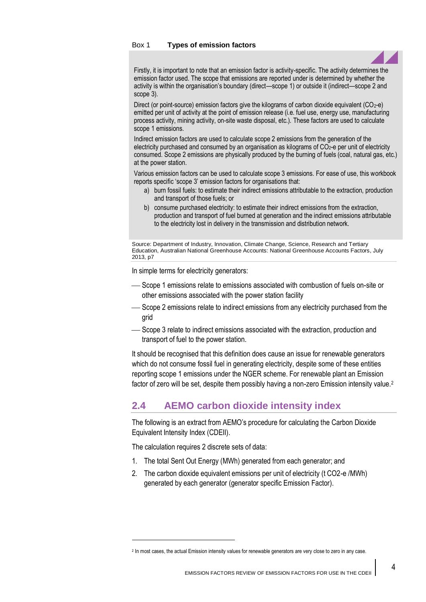#### <span id="page-4-0"></span>Box 1 **Types of emission factors**



Firstly, it is important to note that an emission factor is activity-specific. The activity determines the emission factor used. The scope that emissions are reported under is determined by whether the activity is within the organisation's boundary (direct—scope 1) or outside it (indirect—scope 2 and scope 3).

Direct (or point-source) emission factors give the kilograms of carbon dioxide equivalent  $(CO_2-e)$ emitted per unit of activity at the point of emission release (i.e. fuel use, energy use, manufacturing process activity, mining activity, on-site waste disposal, etc.). These factors are used to calculate scope 1 emissions.

Indirect emission factors are used to calculate scope 2 emissions from the generation of the electricity purchased and consumed by an organisation as kilograms of CO<sub>2</sub>-e per unit of electricity consumed. Scope 2 emissions are physically produced by the burning of fuels (coal, natural gas, etc.) at the power station.

Various emission factors can be used to calculate scope 3 emissions. For ease of use, this workbook reports specific 'scope 3' emission factors for organisations that:

- a) burn fossil fuels: to estimate their indirect emissions attributable to the extraction, production and transport of those fuels; or
- b) consume purchased electricity: to estimate their indirect emissions from the extraction, production and transport of fuel burned at generation and the indirect emissions attributable to the electricity lost in delivery in the transmission and distribution network.

Source: Department of Industry, Innovation, Climate Change, Science, Research and Tertiary Education, Australian National Greenhouse Accounts: National Greenhouse Accounts Factors, July 2013, p7

In simple terms for electricity generators:

- Scope 1 emissions relate to emissions associated with combustion of fuels on-site or other emissions associated with the power station facility
- $-$  Scope 2 emissions relate to indirect emissions from any electricity purchased from the grid
- Scope 3 relate to indirect emissions associated with the extraction, production and transport of fuel to the power station.

It should be recognised that this definition does cause an issue for renewable generators which do not consume fossil fuel in generating electricity, despite some of these entities reporting scope 1 emissions under the NGER scheme. For renewable plant an Emission factor of zero will be set, despite them possibly having a non-zero Emission intensity value.<sup>2</sup>

# **2.4 AEMO carbon dioxide intensity index**

The following is an extract from AEMO's procedure for calculating the Carbon Dioxide Equivalent Intensity Index (CDEII).

The calculation requires 2 discrete sets of data:

 $\overline{\phantom{a}}$ 

- 1. The total Sent Out Energy (MWh) generated from each generator; and
- 2. The carbon dioxide equivalent emissions per unit of electricity (t CO2-e /MWh) generated by each generator (generator specific Emission Factor).

<sup>2</sup> In most cases, the actual Emission intensity values for renewable generators are very close to zero in any case.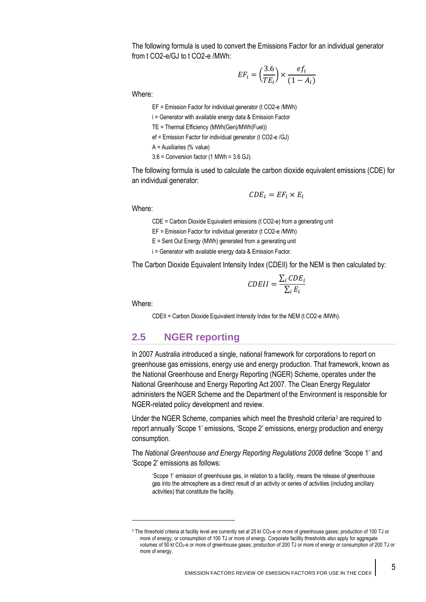The following formula is used to convert the Emissions Factor for an individual generator from t CO2-e/GJ to t CO2-e /MWh:

$$
EF_i = \left(\frac{3.6}{TE_i}\right) \times \frac{ef_i}{(1 - A_i)}
$$

Where:

EF = Emission Factor for individual generator (t CO2-e /MWh)

i = Generator with available energy data & Emission Factor

TE = Thermal Efficiency (MWh(Gen)/MWh(Fuel))

ef = Emission Factor for individual generator (t CO2-e /GJ)

A = Auxiliaries (% value)

3.6 = Conversion factor (1 MWh = 3.6 GJ).

The following formula is used to calculate the carbon dioxide equivalent emissions (CDE) for an individual generator:

$$
CDE_i = EF_i \times E_i
$$

Where:

CDE = Carbon Dioxide Equivalent emissions (t CO2-e) from a generating unit

EF = Emission Factor for individual generator (t CO2-e /MWh)

E = Sent Out Energy (MWh) generated from a generating unit

i = Generator with available energy data & Emission Factor.

The Carbon Dioxide Equivalent Intensity Index (CDEII) for the NEM is then calculated by:

$$
CDEII = \frac{\sum_{i} CDE_{i}}{\sum_{i} E_{i}}
$$

Where:

 $\overline{a}$ 

CDEII = Carbon Dioxide Equivalent Intensity Index for the NEM (t CO2-e /MWh).

# **2.5 NGER reporting**

In 2007 Australia introduced a single, national framework for corporations to report on greenhouse gas emissions, energy use and energy production. That framework, known as the National Greenhouse and Energy Reporting (NGER) Scheme, operates under the National Greenhouse and Energy Reporting Act 2007. The Clean Energy Regulator administers the NGER Scheme and the Department of the Environment is responsible for NGER-related policy development and review.

Under the NGER Scheme, companies which meet the threshold criteria<sup>3</sup> are required to report annually 'Scope 1' emissions, 'Scope 2' emissions, energy production and energy consumption.

The *National Greenhouse and Energy Reporting Regulations 2008* define 'Scope 1' and 'Scope 2' emissions as follows:

'Scope 1' emission of greenhouse gas, in relation to a facility, means the release of greenhouse gas into the atmosphere as a direct result of an activity or series of activities (including ancillary activities) that constitute the facility.

<sup>&</sup>lt;sup>3</sup> The threshold criteria at facility level are currently set at 25 kt CO<sub>2</sub>-e or more of greenhouse gases; production of 100 TJ or more of energy, or consumption of 100 TJ or more of energy. Corporate facility thresholds also apply for aggregate volumes of 50 kt CO2-e or more of greenhouse gases; production of 200 TJ or more of energy or consumption of 200 TJ or more of energy.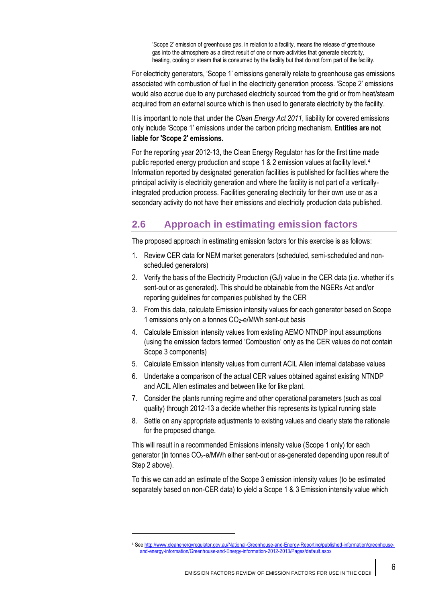'Scope 2' emission of greenhouse gas, in relation to a facility, means the release of greenhouse gas into the atmosphere as a direct result of one or more activities that generate electricity, heating, cooling or steam that is consumed by the facility but that do not form part of the facility.

For electricity generators, 'Scope 1' emissions generally relate to greenhouse gas emissions associated with combustion of fuel in the electricity generation process. 'Scope 2' emissions would also accrue due to any purchased electricity sourced from the grid or from heat/steam acquired from an external source which is then used to generate electricity by the facility.

It is important to note that under the *Clean Energy Act 2011*, liability for covered emissions only include 'Scope 1' emissions under the carbon pricing mechanism. **Entities are not liable for 'Scope 2' emissions.**

For the reporting year 2012-13, the Clean Energy Regulator has for the first time made public reported energy production and scope 1 & 2 emission values at facility level.<sup>4</sup> Information reported by designated generation facilities is published for facilities where the principal activity is electricity generation and where the facility is not part of a verticallyintegrated production process. Facilities generating electricity for their own use or as a secondary activity do not have their emissions and electricity production data published.

# **2.6 Approach in estimating emission factors**

The proposed approach in estimating emission factors for this exercise is as follows:

- 1. Review CER data for NEM market generators (scheduled, semi-scheduled and nonscheduled generators)
- 2. Verify the basis of the Electricity Production (GJ) value in the CER data (i.e. whether it's sent-out or as generated). This should be obtainable from the NGERs Act and/or reporting guidelines for companies published by the CER
- 3. From this data, calculate Emission intensity values for each generator based on Scope 1 emissions only on a tonnes CO2-e/MWh sent-out basis
- 4. Calculate Emission intensity values from existing AEMO NTNDP input assumptions (using the emission factors termed 'Combustion' only as the CER values do not contain Scope 3 components)
- 5. Calculate Emission intensity values from current ACIL Allen internal database values
- 6. Undertake a comparison of the actual CER values obtained against existing NTNDP and ACIL Allen estimates and between like for like plant.
- 7. Consider the plants running regime and other operational parameters (such as coal quality) through 2012-13 a decide whether this represents its typical running state
- 8. Settle on any appropriate adjustments to existing values and clearly state the rationale for the proposed change.

This will result in a recommended Emissions intensity value (Scope 1 only) for each generator (in tonnes  $CO<sub>2</sub>$ -e/MWh either sent-out or as-generated depending upon result of Step 2 above).

To this we can add an estimate of the Scope 3 emission intensity values (to be estimated separately based on non-CER data) to yield a Scope 1 & 3 Emission intensity value which

 $\overline{a}$ 

<sup>4</sup> Se[e http://www.cleanenergyregulator.gov.au/National-Greenhouse-and-Energy-Reporting/published-information/greenhouse](http://www.cleanenergyregulator.gov.au/National-Greenhouse-and-Energy-Reporting/published-information/greenhouse-and-energy-information/Greenhouse-and-Energy-information-2012-2013/Pages/default.aspx)[and-energy-information/Greenhouse-and-Energy-information-2012-2013/Pages/default.aspx](http://www.cleanenergyregulator.gov.au/National-Greenhouse-and-Energy-Reporting/published-information/greenhouse-and-energy-information/Greenhouse-and-Energy-information-2012-2013/Pages/default.aspx)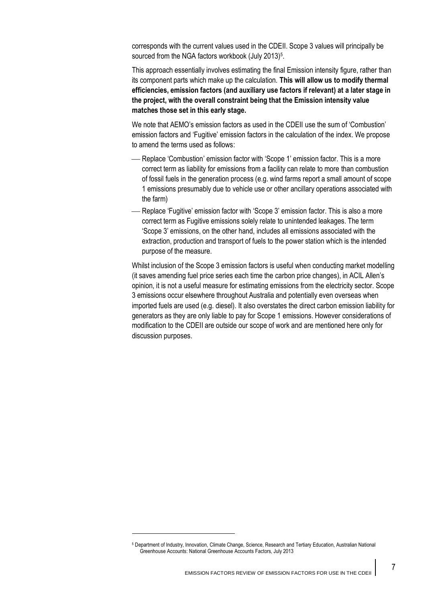corresponds with the current values used in the CDEII. Scope 3 values will principally be sourced from the NGA factors workbook (July 2013)<sup>5</sup>.

This approach essentially involves estimating the final Emission intensity figure, rather than its component parts which make up the calculation. **This will allow us to modify thermal efficiencies, emission factors (and auxiliary use factors if relevant) at a later stage in the project, with the overall constraint being that the Emission intensity value matches those set in this early stage.**

We note that AEMO's emission factors as used in the CDEII use the sum of 'Combustion' emission factors and 'Fugitive' emission factors in the calculation of the index. We propose to amend the terms used as follows:

- Replace 'Combustion' emission factor with 'Scope 1' emission factor. This is a more correct term as liability for emissions from a facility can relate to more than combustion of fossil fuels in the generation process (e.g. wind farms report a small amount of scope 1 emissions presumably due to vehicle use or other ancillary operations associated with the farm)
- Replace 'Fugitive' emission factor with 'Scope 3' emission factor. This is also a more correct term as Fugitive emissions solely relate to unintended leakages. The term 'Scope 3' emissions, on the other hand, includes all emissions associated with the extraction, production and transport of fuels to the power station which is the intended purpose of the measure.

Whilst inclusion of the Scope 3 emission factors is useful when conducting market modelling (it saves amending fuel price series each time the carbon price changes), in ACIL Allen's opinion, it is not a useful measure for estimating emissions from the electricity sector. Scope 3 emissions occur elsewhere throughout Australia and potentially even overseas when imported fuels are used (e.g. diesel). It also overstates the direct carbon emission liability for generators as they are only liable to pay for Scope 1 emissions. However considerations of modification to the CDEII are outside our scope of work and are mentioned here only for discussion purposes.

 $\overline{a}$ 

<sup>5</sup> Department of Industry, Innovation, Climate Change, Science, Research and Tertiary Education, Australian National Greenhouse Accounts: National Greenhouse Accounts Factors, July 2013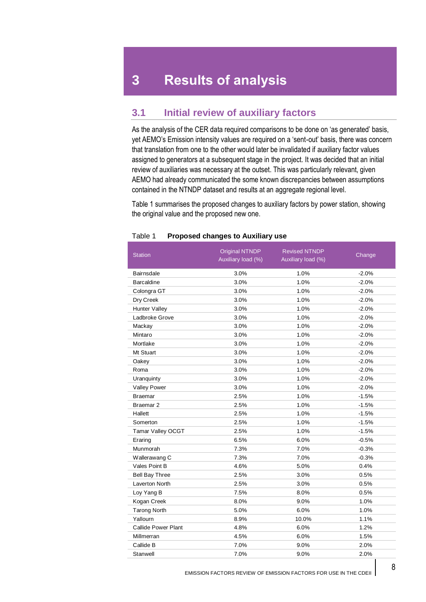# **3 Results of analysis**

# **3.1 Initial review of auxiliary factors**

As the analysis of the CER data required comparisons to be done on 'as generated' basis, yet AEMO's Emission intensity values are required on a 'sent-out' basis, there was concern that translation from one to the other would later be invalidated if auxiliary factor values assigned to generators at a subsequent stage in the project. It was decided that an initial review of auxiliaries was necessary at the outset. This was particularly relevant, given AEMO had already communicated the some known discrepancies between assumptions contained in the NTNDP dataset and results at an aggregate regional level.

[Table 1](#page-8-0) summarises the proposed changes to auxiliary factors by power station, showing the original value and the proposed new one.

| <b>Station</b>             | Original NTNDP<br>Auxiliary load (%) | <b>Revised NTNDP</b><br>Auxiliary load (%) | Change   |
|----------------------------|--------------------------------------|--------------------------------------------|----------|
| <b>Bairnsdale</b>          | 3.0%                                 | 1.0%                                       | $-2.0%$  |
| <b>Barcaldine</b>          | 3.0%                                 | 1.0%                                       | $-2.0%$  |
| Colongra GT                | 3.0%                                 | 1.0%                                       | $-2.0%$  |
| Dry Creek                  | 3.0%                                 | 1.0%                                       | $-2.0%$  |
| Hunter Valley              | 3.0%                                 | 1.0%                                       | $-2.0%$  |
| Ladbroke Grove             | 3.0%                                 | 1.0%                                       | $-2.0\%$ |
| Mackay                     | 3.0%                                 | 1.0%                                       | $-2.0%$  |
| Mintaro                    | 3.0%                                 | 1.0%                                       | $-2.0%$  |
| Mortlake                   | 3.0%                                 | 1.0%                                       | $-2.0%$  |
| Mt Stuart                  | 3.0%                                 | 1.0%                                       | $-2.0%$  |
| Oakey                      | 3.0%                                 | 1.0%                                       | $-2.0%$  |
| Roma                       | 3.0%                                 | 1.0%                                       | $-2.0%$  |
| Uranquinty                 | 3.0%                                 | 1.0%                                       | $-2.0%$  |
| <b>Valley Power</b>        | 3.0%                                 | 1.0%                                       | $-2.0%$  |
| <b>Braemar</b>             | 2.5%                                 | 1.0%                                       | $-1.5%$  |
| Braemar <sub>2</sub>       | 2.5%                                 | 1.0%                                       | $-1.5%$  |
| Hallett                    | 2.5%                                 | 1.0%                                       | $-1.5%$  |
| Somerton                   | 2.5%                                 | 1.0%                                       | $-1.5%$  |
| Tamar Valley OCGT          | 2.5%                                 | 1.0%                                       | $-1.5%$  |
| Eraring                    | 6.5%                                 | 6.0%                                       | $-0.5%$  |
| Munmorah                   | 7.3%                                 | 7.0%                                       | $-0.3%$  |
| Wallerawang C              | 7.3%                                 | 7.0%                                       | $-0.3%$  |
| Vales Point B              | 4.6%                                 | 5.0%                                       | 0.4%     |
| <b>Bell Bay Three</b>      | 2.5%                                 | 3.0%                                       | 0.5%     |
| Laverton North             | 2.5%                                 | 3.0%                                       | 0.5%     |
| Loy Yang B                 | 7.5%                                 | 8.0%                                       | 0.5%     |
| Kogan Creek                | 8.0%                                 | 9.0%                                       | 1.0%     |
| <b>Tarong North</b>        | 5.0%                                 | 6.0%                                       | 1.0%     |
| Yallourn                   | 8.9%                                 | 10.0%                                      | 1.1%     |
| <b>Callide Power Plant</b> | 4.8%                                 | 6.0%                                       | 1.2%     |
| Millmerran                 | 4.5%                                 | 6.0%                                       | 1.5%     |
| Callide B                  | 7.0%                                 | 9.0%                                       | 2.0%     |
| Stanwell                   | 7.0%                                 | 9.0%                                       | 2.0%     |

#### <span id="page-8-0"></span>Table 1 **Proposed changes to Auxiliary use**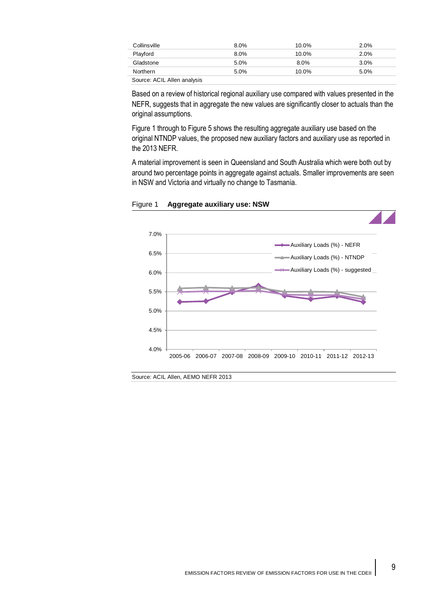| Collinsville               | 8.0% | 10.0%    | $2.0\%$ |
|----------------------------|------|----------|---------|
| Playford                   | 8.0% | 10.0%    | 2.0%    |
| Gladstone                  | 5.0% | $8.0\%$  | 3.0%    |
| Northern                   | 5.0% | $10.0\%$ | 5.0%    |
| Course ACIL Allen anglusia |      |          |         |

Source: ACIL Allen analysis

Based on a review of historical regional auxiliary use compared with values presented in the NEFR, suggests that in aggregate the new values are significantly closer to actuals than the original assumptions.

[Figure 1](#page-9-0) through to [Figure 5](#page-11-0) shows the resulting aggregate auxiliary use based on the original NTNDP values, the proposed new auxiliary factors and auxiliary use as reported in the 2013 NEFR.

A material improvement is seen in Queensland and South Australia which were both out by around two percentage points in aggregate against actuals. Smaller improvements are seen in NSW and Victoria and virtually no change to Tasmania.



<span id="page-9-0"></span>Figure 1 **Aggregate auxiliary use: NSW**

Source: ACIL Allen, AEMO NEFR 2013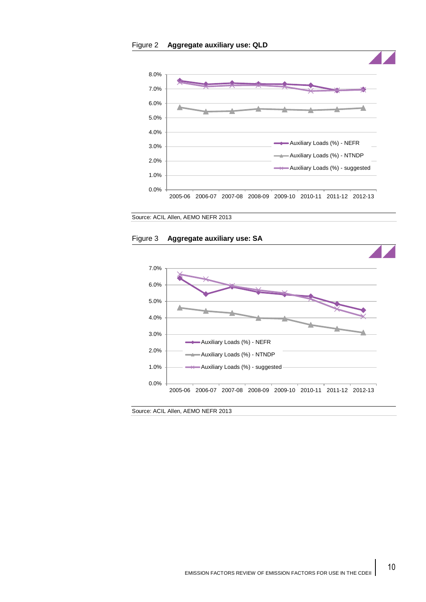



Source: ACIL Allen, AEMO NEFR 2013

#### Figure 3 **Aggregate auxiliary use: SA**



Source: ACIL Allen, AEMO NEFR 2013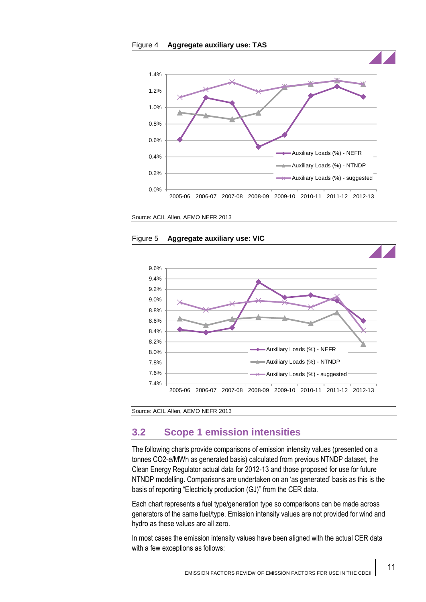



<span id="page-11-0"></span>Source: ACIL Allen, AEMO NEFR 2013





Source: ACIL Allen, AEMO NEFR 2013

# **3.2 Scope 1 emission intensities**

The following charts provide comparisons of emission intensity values (presented on a tonnes CO2-e/MWh as generated basis) calculated from previous NTNDP dataset, the Clean Energy Regulator actual data for 2012-13 and those proposed for use for future NTNDP modelling. Comparisons are undertaken on an 'as generated' basis as this is the basis of reporting "Electricity production (GJ)" from the CER data.

Each chart represents a fuel type/generation type so comparisons can be made across generators of the same fuel/type. Emission intensity values are not provided for wind and hydro as these values are all zero.

In most cases the emission intensity values have been aligned with the actual CER data with a few exceptions as follows: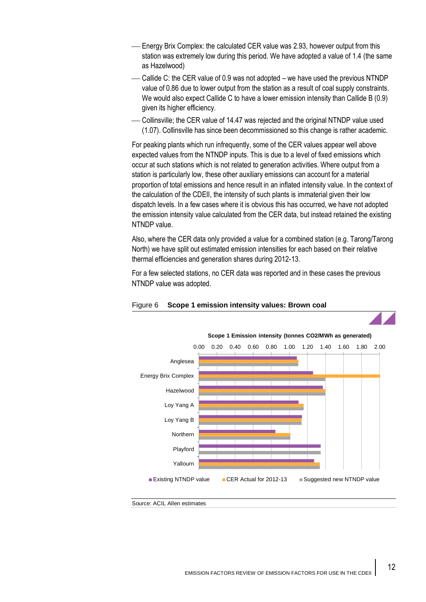- Energy Brix Complex: the calculated CER value was 2.93, however output from this station was extremely low during this period. We have adopted a value of 1.4 (the same as Hazelwood)
- Callide C: the CER value of 0.9 was not adopted we have used the previous NTNDP value of 0.86 due to lower output from the station as a result of coal supply constraints. We would also expect Callide C to have a lower emission intensity than Callide B (0.9) given its higher efficiency.
- Collinsville; the CER value of 14.47 was rejected and the original NTNDP value used (1.07). Collinsville has since been decommissioned so this change is rather academic.

For peaking plants which run infrequently, some of the CER values appear well above expected values from the NTNDP inputs. This is due to a level of fixed emissions which occur at such stations which is not related to generation activities. Where output from a station is particularly low, these other auxiliary emissions can account for a material proportion of total emissions and hence result in an inflated intensity value. In the context of the calculation of the CDEII, the intensity of such plants is immaterial given their low dispatch levels. In a few cases where it is obvious this has occurred, we have not adopted the emission intensity value calculated from the CER data, but instead retained the existing NTNDP value.

Also, where the CER data only provided a value for a combined station (e.g. Tarong/Tarong North) we have split out estimated emission intensities for each based on their relative thermal efficiencies and generation shares during 2012-13.

For a few selected stations, no CER data was reported and in these cases the previous NTNDP value was adopted.



## Figure 6 **Scope 1 emission intensity values: Brown coal**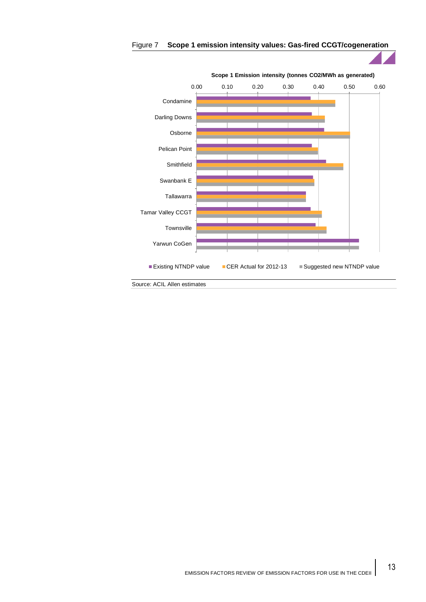

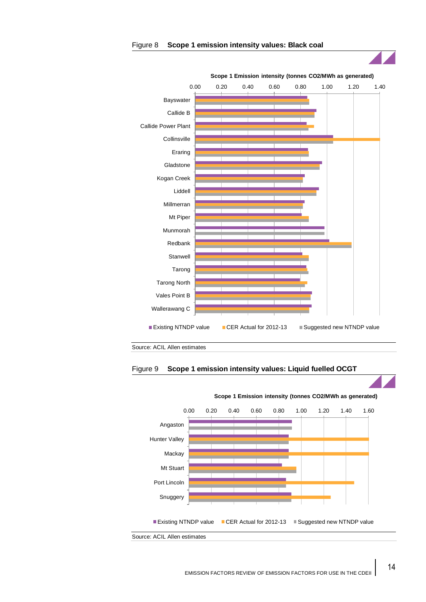





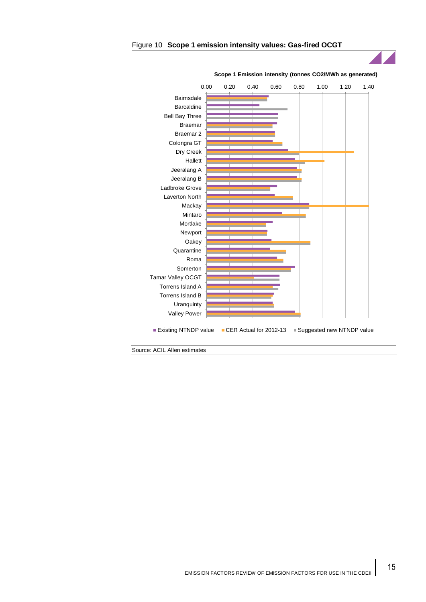

#### Figure 10 **Scope 1 emission intensity values: Gas-fired OCGT**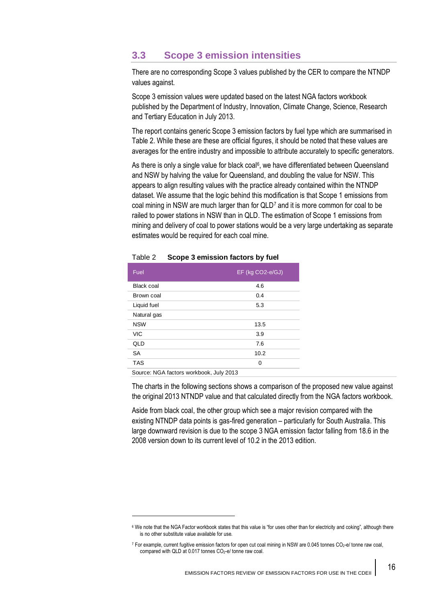# **3.3 Scope 3 emission intensities**

There are no corresponding Scope 3 values published by the CER to compare the NTNDP values against.

Scope 3 emission values were updated based on the latest NGA factors workbook published by the Department of Industry, Innovation, Climate Change, Science, Research and Tertiary Education in July 2013.

The report contains generic Scope 3 emission factors by fuel type which are summarised in [Table 2.](#page-16-0) While these are these are official figures, it should be noted that these values are averages for the entire industry and impossible to attribute accurately to specific generators.

As there is only a single value for black coal<sup>6</sup>, we have differentiated between Queensland and NSW by halving the value for Queensland, and doubling the value for NSW. This appears to align resulting values with the practice already contained within the NTNDP dataset. We assume that the logic behind this modification is that Scope 1 emissions from coal mining in NSW are much larger than for QLD<sup>7</sup> and it is more common for coal to be railed to power stations in NSW than in QLD. The estimation of Scope 1 emissions from mining and delivery of coal to power stations would be a very large undertaking as separate estimates would be required for each coal mine.

| Fuel        | EF (kg CO2-e/GJ) |
|-------------|------------------|
| Black coal  | 4.6              |
| Brown coal  | 0.4              |
| Liquid fuel | 5.3              |
| Natural gas |                  |
| <b>NSW</b>  | 13.5             |
| <b>VIC</b>  | 3.9              |
| QLD         | 7.6              |
| <b>SA</b>   | 10.2             |
| <b>TAS</b>  | 0                |
|             |                  |

#### <span id="page-16-0"></span>Table 2 **Scope 3 emission factors by fuel**

Source: NGA factors workbook, July 2013

 $\overline{a}$ 

The charts in the following sections shows a comparison of the proposed new value against the original 2013 NTNDP value and that calculated directly from the NGA factors workbook.

Aside from black coal, the other group which see a major revision compared with the existing NTNDP data points is gas-fired generation – particularly for South Australia. This large downward revision is due to the scope 3 NGA emission factor falling from 18.6 in the 2008 version down to its current level of 10.2 in the 2013 edition.

<sup>6</sup> We note that the NGA Factor workbook states that this value is "for uses other than for electricity and coking", although there is no other substitute value available for use.

<sup>7</sup> For example, current fugitive emission factors for open cut coal mining in NSW are 0.045 tonnes CO2-e/ tonne raw coal, compared with QLD at 0.017 tonnes CO<sub>2</sub>-e/ tonne raw coal.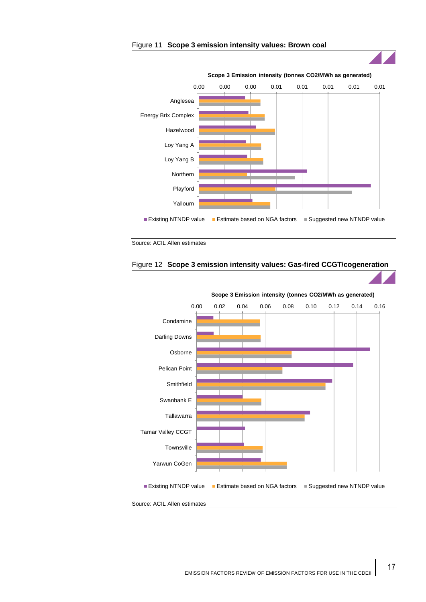



Source: ACIL Allen estimates



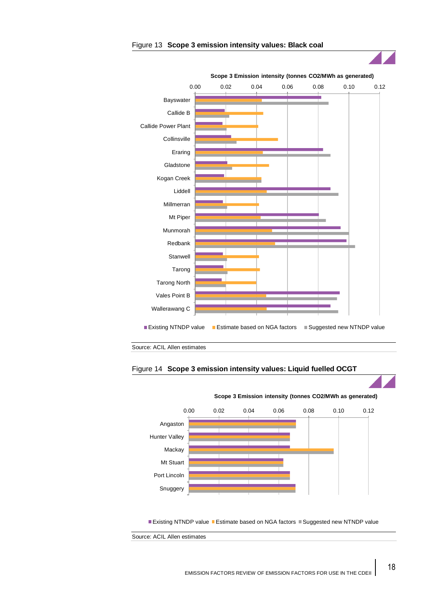

#### Figure 13 **Scope 3 emission intensity values: Black coal**





■ Existing NTNDP value ■ Estimate based on NGA factors ■ Suggested new NTNDP value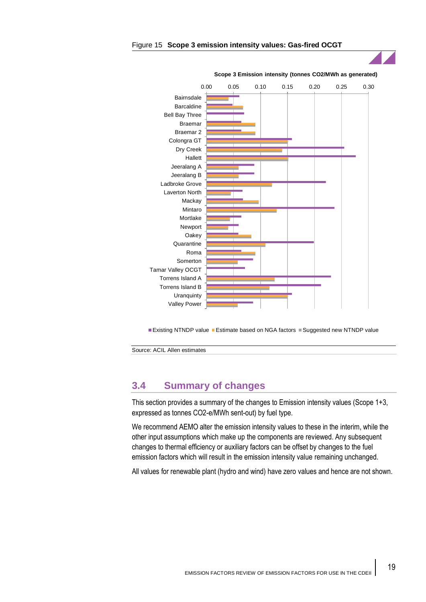

#### Figure 15 **Scope 3 emission intensity values: Gas-fired OCGT**

■Existing NTNDP value ■Estimate based on NGA factors ■ Suggested new NTNDP value

Source: ACIL Allen estimates

# **3.4 Summary of changes**

This section provides a summary of the changes to Emission intensity values (Scope 1+3, expressed as tonnes CO2-e/MWh sent-out) by fuel type.

We recommend AEMO alter the emission intensity values to these in the interim, while the other input assumptions which make up the components are reviewed. Any subsequent changes to thermal efficiency or auxiliary factors can be offset by changes to the fuel emission factors which will result in the emission intensity value remaining unchanged.

All values for renewable plant (hydro and wind) have zero values and hence are not shown.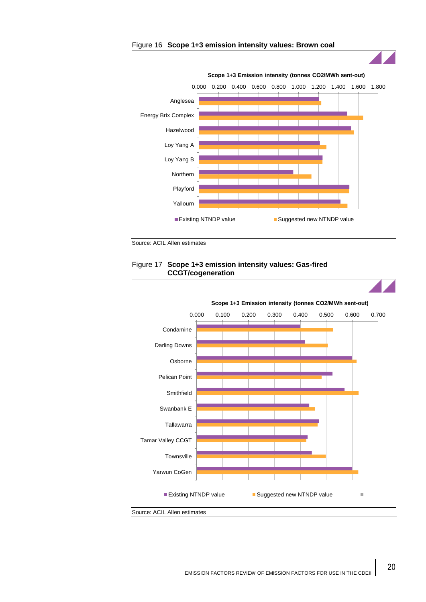



Source: ACIL Allen estimates

## Figure 17 **Scope 1+3 emission intensity values: Gas-fired CCGT/cogeneration**



20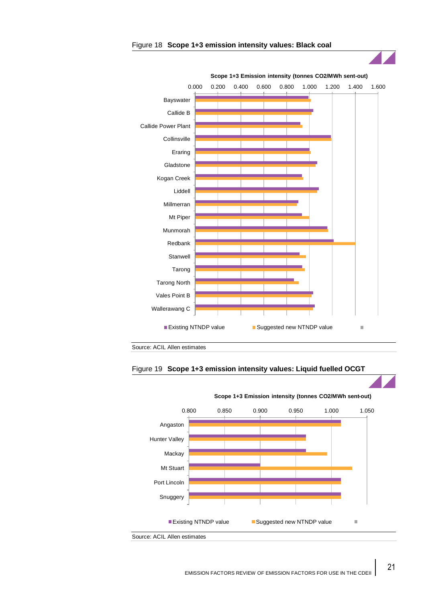

#### Figure 18 **Scope 1+3 emission intensity values: Black coal**

Source: ACIL Allen estimates





EMISSION FACTORS REVIEW OF EMISSION FACTORS FOR USE IN THE CDEII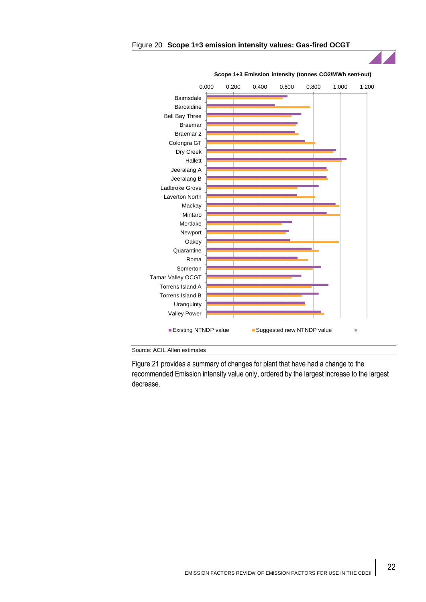

#### Figure 20 **Scope 1+3 emission intensity values: Gas-fired OCGT**



[Figure 21](#page-23-0) provides a summary of changes for plant that have had a change to the recommended Emission intensity value only, ordered by the largest increase to the largest decrease.

22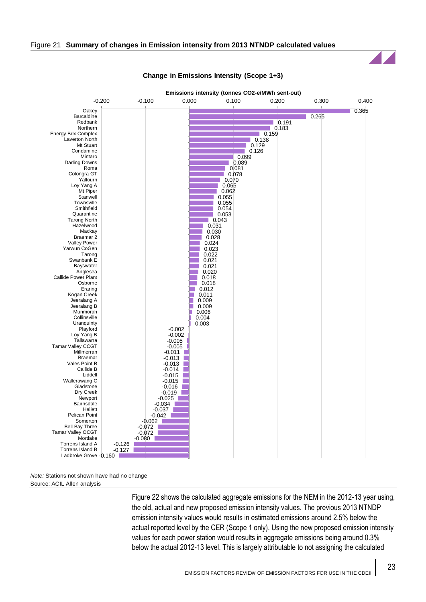<span id="page-23-0"></span>

#### **Change in Emissions Intensity (Scope 1+3)**

*Note:* Stations not shown have had no change Source: ACIL Allen analysis

> [Figure 22](#page-24-0) shows the calculated aggregate emissions for the NEM in the 2012-13 year using, the old, actual and new proposed emission intensity values. The previous 2013 NTNDP emission intensity values would results in estimated emissions around 2.5% below the actual reported level by the CER (Scope 1 only). Using the new proposed emission intensity values for each power station would results in aggregate emissions being around 0.3% below the actual 2012-13 level. This is largely attributable to not assigning the calculated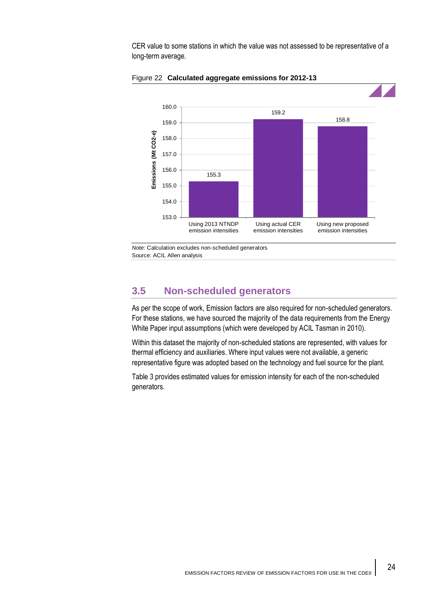CER value to some stations in which the value was not assessed to be representative of a long-term average.



<span id="page-24-0"></span>Figure 22 **Calculated aggregate emissions for 2012-13**

*Note:* Calculation excludes non-scheduled generators Source: ACIL Allen analysis

# **3.5 Non-scheduled generators**

As per the scope of work, Emission factors are also required for non-scheduled generators. For these stations, we have sourced the majority of the data requirements from the Energy White Paper input assumptions (which were developed by ACIL Tasman in 2010).

Within this dataset the majority of non-scheduled stations are represented, with values for thermal efficiency and auxiliaries. Where input values were not available, a generic representative figure was adopted based on the technology and fuel source for the plant.

[Table 3](#page-25-0) provides estimated values for emission intensity for each of the non-scheduled generators.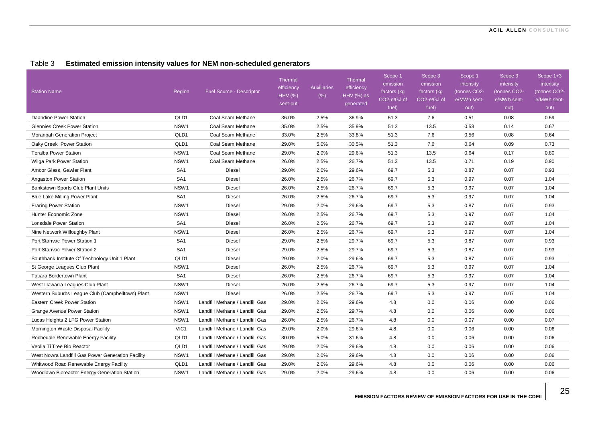## Table 3 **Estimated emission intensity values for NEM non-scheduled generators**

<span id="page-25-0"></span>

| <b>Station Name</b>                               | Region           | <b>Fuel Source - Descriptor</b> | Thermal<br>efficiency<br><b>HHV (%)</b><br>sent-out | <b>Auxiliaries</b><br>(% ) | Thermal<br>efficiency<br>HHV (%) as<br>generated | Scope 1<br>emission<br>factors (kg<br>CO2-e/GJ of<br>fuel) | Scope 3<br>emission<br>factors (kg<br>CO2-e/GJ of<br>fuel) | Scope 1<br>intensity<br>(tonnes CO2-<br>e/MWh sent-<br>out) | Scope 3<br>intensity<br>(tonnes CO2-<br>e/MWh sent-<br>out) | Scope 1+3<br>intensity<br>(tonnes CO2-<br>e/MWh sent-<br>out) |
|---------------------------------------------------|------------------|---------------------------------|-----------------------------------------------------|----------------------------|--------------------------------------------------|------------------------------------------------------------|------------------------------------------------------------|-------------------------------------------------------------|-------------------------------------------------------------|---------------------------------------------------------------|
| Daandine Power Station                            | QLD1             | Coal Seam Methane               | 36.0%                                               | 2.5%                       | 36.9%                                            | 51.3                                                       | 7.6                                                        | 0.51                                                        | 0.08                                                        | 0.59                                                          |
| <b>Glennies Creek Power Station</b>               | NSW <sub>1</sub> | Coal Seam Methane               | 35.0%                                               | 2.5%                       | 35.9%                                            | 51.3                                                       | 13.5                                                       | 0.53                                                        | 0.14                                                        | 0.67                                                          |
| Moranbah Generation Project                       | QLD1             | Coal Seam Methane               | 33.0%                                               | 2.5%                       | 33.8%                                            | 51.3                                                       | 7.6                                                        | 0.56                                                        | 0.08                                                        | 0.64                                                          |
| Oaky Creek Power Station                          | QLD1             | Coal Seam Methane               | 29.0%                                               | 5.0%                       | 30.5%                                            | 51.3                                                       | 7.6                                                        | 0.64                                                        | 0.09                                                        | 0.73                                                          |
| <b>Teralba Power Station</b>                      | NSW <sub>1</sub> | Coal Seam Methane               | 29.0%                                               | 2.0%                       | 29.6%                                            | 51.3                                                       | 13.5                                                       | 0.64                                                        | 0.17                                                        | 0.80                                                          |
| Wilga Park Power Station                          | NSW <sub>1</sub> | Coal Seam Methane               | 26.0%                                               | 2.5%                       | 26.7%                                            | 51.3                                                       | 13.5                                                       | 0.71                                                        | 0.19                                                        | 0.90                                                          |
| Amcor Glass, Gawler Plant                         | SA <sub>1</sub>  | Diesel                          | 29.0%                                               | 2.0%                       | 29.6%                                            | 69.7                                                       | 5.3                                                        | 0.87                                                        | 0.07                                                        | 0.93                                                          |
| Angaston Power Station                            | SA <sub>1</sub>  | Diesel                          | 26.0%                                               | 2.5%                       | 26.7%                                            | 69.7                                                       | 5.3                                                        | 0.97                                                        | 0.07                                                        | 1.04                                                          |
| Bankstown Sports Club Plant Units                 | NSW1             | Diesel                          | 26.0%                                               | 2.5%                       | 26.7%                                            | 69.7                                                       | 5.3                                                        | 0.97                                                        | 0.07                                                        | 1.04                                                          |
| Blue Lake Milling Power Plant                     | SA <sub>1</sub>  | <b>Diesel</b>                   | 26.0%                                               | 2.5%                       | 26.7%                                            | 69.7                                                       | 5.3                                                        | 0.97                                                        | 0.07                                                        | 1.04                                                          |
| <b>Eraring Power Station</b>                      | NSW1             | Diesel                          | 29.0%                                               | 2.0%                       | 29.6%                                            | 69.7                                                       | 5.3                                                        | 0.87                                                        | 0.07                                                        | 0.93                                                          |
| Hunter Economic Zone                              | NSW <sub>1</sub> | Diesel                          | 26.0%                                               | 2.5%                       | 26.7%                                            | 69.7                                                       | 5.3                                                        | 0.97                                                        | 0.07                                                        | 1.04                                                          |
| <b>Lonsdale Power Station</b>                     | SA <sub>1</sub>  | <b>Diesel</b>                   | 26.0%                                               | 2.5%                       | 26.7%                                            | 69.7                                                       | 5.3                                                        | 0.97                                                        | 0.07                                                        | 1.04                                                          |
| Nine Network Willoughby Plant                     | NSW1             | <b>Diesel</b>                   | 26.0%                                               | 2.5%                       | 26.7%                                            | 69.7                                                       | 5.3                                                        | 0.97                                                        | 0.07                                                        | 1.04                                                          |
| Port Stanyac Power Station 1                      | SA <sub>1</sub>  | Diesel                          | 29.0%                                               | 2.5%                       | 29.7%                                            | 69.7                                                       | 5.3                                                        | 0.87                                                        | 0.07                                                        | 0.93                                                          |
| Port Stanvac Power Station 2                      | SA <sub>1</sub>  | Diesel                          | 29.0%                                               | 2.5%                       | 29.7%                                            | 69.7                                                       | 5.3                                                        | 0.87                                                        | 0.07                                                        | 0.93                                                          |
| Southbank Institute Of Technology Unit 1 Plant    | QLD1             | Diesel                          | 29.0%                                               | 2.0%                       | 29.6%                                            | 69.7                                                       | 5.3                                                        | 0.87                                                        | 0.07                                                        | 0.93                                                          |
| St George Leagues Club Plant                      | NSW1             | Diesel                          | 26.0%                                               | 2.5%                       | 26.7%                                            | 69.7                                                       | 5.3                                                        | 0.97                                                        | 0.07                                                        | 1.04                                                          |
| <b>Tatiara Bordertown Plant</b>                   | SA <sub>1</sub>  | Diesel                          | 26.0%                                               | 2.5%                       | 26.7%                                            | 69.7                                                       | 5.3                                                        | 0.97                                                        | 0.07                                                        | 1.04                                                          |
| West Illawarra Leagues Club Plant                 | NSW <sub>1</sub> | Diesel                          | 26.0%                                               | 2.5%                       | 26.7%                                            | 69.7                                                       | 5.3                                                        | 0.97                                                        | 0.07                                                        | 1.04                                                          |
| Western Suburbs League Club (Campbelltown) Plant  | NSW <sub>1</sub> | <b>Diesel</b>                   | 26.0%                                               | 2.5%                       | 26.7%                                            | 69.7                                                       | 5.3                                                        | 0.97                                                        | 0.07                                                        | 1.04                                                          |
| Eastern Creek Power Station                       | NSW <sub>1</sub> | Landfill Methane / Landfill Gas | 29.0%                                               | 2.0%                       | 29.6%                                            | 4.8                                                        | 0.0                                                        | 0.06                                                        | 0.00                                                        | 0.06                                                          |
| Grange Avenue Power Station                       | NSW1             | Landfill Methane / Landfill Gas | 29.0%                                               | 2.5%                       | 29.7%                                            | 4.8                                                        | 0.0                                                        | 0.06                                                        | 0.00                                                        | 0.06                                                          |
| Lucas Heights 2 LFG Power Station                 | NSW1             | Landfill Methane / Landfill Gas | 26.0%                                               | 2.5%                       | 26.7%                                            | 4.8                                                        | 0.0                                                        | 0.07                                                        | 0.00                                                        | 0.07                                                          |
| Mornington Waste Disposal Facility                | VIC1             | Landfill Methane / Landfill Gas | 29.0%                                               | 2.0%                       | 29.6%                                            | 4.8                                                        | 0.0                                                        | 0.06                                                        | 0.00                                                        | 0.06                                                          |
| Rochedale Renewable Energy Facility               | QLD1             | Landfill Methane / Landfill Gas | 30.0%                                               | 5.0%                       | 31.6%                                            | 4.8                                                        | 0.0                                                        | 0.06                                                        | 0.00                                                        | 0.06                                                          |
| Veolia Ti Tree Bio Reactor                        | QLD1             | Landfill Methane / Landfill Gas | 29.0%                                               | 2.0%                       | 29.6%                                            | 4.8                                                        | 0.0                                                        | 0.06                                                        | 0.00                                                        | 0.06                                                          |
| West Nowra Landfill Gas Power Generation Facility | NSW1             | Landfill Methane / Landfill Gas | 29.0%                                               | 2.0%                       | 29.6%                                            | 4.8                                                        | 0.0                                                        | 0.06                                                        | 0.00                                                        | 0.06                                                          |
| Whitwood Road Renewable Energy Facility           | QLD1             | Landfill Methane / Landfill Gas | 29.0%                                               | 2.0%                       | 29.6%                                            | 4.8                                                        | 0.0                                                        | 0.06                                                        | 0.00                                                        | 0.06                                                          |
| Woodlawn Bioreactor Energy Generation Station     | NSW <sub>1</sub> | Landfill Methane / Landfill Gas | 29.0%                                               | 2.0%                       | 29.6%                                            | 4.8                                                        | 0.0                                                        | 0.06                                                        | 0.00                                                        | 0.06                                                          |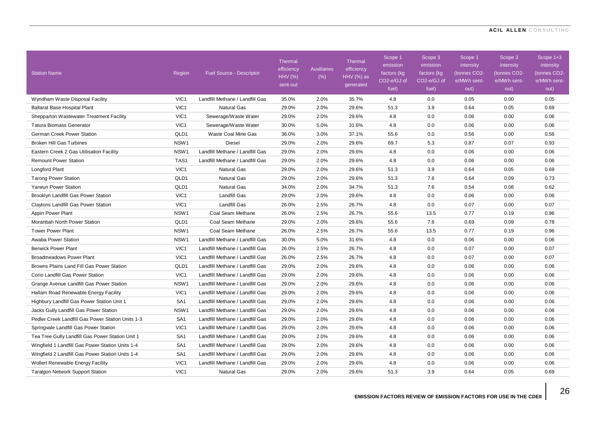| <b>Station Name</b>                               | Region           | <b>Fuel Source - Descriptor</b> | <b>Thermal</b><br>efficiency<br>HHV (%)<br>sent-out | <b>Auxiliaries</b><br>(% ) | <b>Thermal</b><br>efficiency<br>HHV (%) as<br>generated | Scope 1<br>emission<br>factors (kg<br>CO2-e/GJ of<br>fuel) | Scope 3<br>emission<br>factors (kg<br>CO2-e/GJ of<br>fuel) | Scope 1<br>intensity<br>(tonnes CO2-<br>e/MWh sent-<br>out) | Scope 3<br>intensity<br>tonnes CO <sub>2</sub> -<br>e/MWh sent-<br>out) | Scope 1+3<br>intensity<br>(tonnes CO2-<br>e/MWh sent-<br>out) |
|---------------------------------------------------|------------------|---------------------------------|-----------------------------------------------------|----------------------------|---------------------------------------------------------|------------------------------------------------------------|------------------------------------------------------------|-------------------------------------------------------------|-------------------------------------------------------------------------|---------------------------------------------------------------|
| Wyndham Waste Disposal Facility                   | VIC1             | Landfill Methane / Landfill Gas | 35.0%                                               | 2.0%                       | 35.7%                                                   | 4.8                                                        | 0.0                                                        | 0.05                                                        | 0.00                                                                    | 0.05                                                          |
| <b>Ballarat Base Hospital Plant</b>               | VIC1             | <b>Natural Gas</b>              | 29.0%                                               | 2.0%                       | 29.6%                                                   | 51.3                                                       | 3.9                                                        | 0.64                                                        | 0.05                                                                    | 0.69                                                          |
| Shepparton Wastewater Treatment Facility          | VIC1             | Sewerage/Waste Water            | 29.0%                                               | 2.0%                       | 29.6%                                                   | 4.8                                                        | 0.0                                                        | 0.06                                                        | 0.00                                                                    | 0.06                                                          |
| <b>Tatura Biomass Generator</b>                   | VIC <sub>1</sub> | Sewerage/Waste Water            | 30.0%                                               | 5.0%                       | 31.6%                                                   | 4.8                                                        | 0.0                                                        | 0.06                                                        | 0.00                                                                    | 0.06                                                          |
| German Creek Power Station                        | QLD1             | Waste Coal Mine Gas             | 36.0%                                               | 3.0%                       | 37.1%                                                   | 55.6                                                       | 0.0                                                        | 0.56                                                        | 0.00                                                                    | 0.56                                                          |
| <b>Broken Hill Gas Turbines</b>                   | NSW <sub>1</sub> | <b>Diesel</b>                   | 29.0%                                               | 2.0%                       | 29.6%                                                   | 69.7                                                       | 5.3                                                        | 0.87                                                        | 0.07                                                                    | 0.93                                                          |
| Eastern Creek 2 Gas Utilisation Facility          | NSW1             | Landfill Methane / Landfill Gas | 29.0%                                               | 2.0%                       | 29.6%                                                   | 4.8                                                        | 0.0                                                        | 0.06                                                        | 0.00                                                                    | 0.06                                                          |
| <b>Remount Power Station</b>                      | TAS1             | Landfill Methane / Landfill Gas | 29.0%                                               | 2.0%                       | 29.6%                                                   | 4.8                                                        | 0.0                                                        | 0.06                                                        | 0.00                                                                    | 0.06                                                          |
| Longford Plant                                    | VIC1             | <b>Natural Gas</b>              | 29.0%                                               | 2.0%                       | 29.6%                                                   | 51.3                                                       | 3.9                                                        | 0.64                                                        | 0.05                                                                    | 0.69                                                          |
| <b>Tarong Power Station</b>                       | QLD1             | <b>Natural Gas</b>              | 29.0%                                               | 2.0%                       | 29.6%                                                   | 51.3                                                       | 7.6                                                        | 0.64                                                        | 0.09                                                                    | 0.73                                                          |
| Yarwun Power Station                              | QLD1             | <b>Natural Gas</b>              | 34.0%                                               | 2.0%                       | 34.7%                                                   | 51.3                                                       | 7.6                                                        | 0.54                                                        | 0.08                                                                    | 0.62                                                          |
| Brooklyn Landfill Gas Power Station               | VIC1             | Landfill Gas                    | 29.0%                                               | 2.0%                       | 29.6%                                                   | 4.8                                                        | 0.0                                                        | 0.06                                                        | 0.00                                                                    | 0.06                                                          |
| Claytons Landfill Gas Power Station               | VIC1             | Landfill Gas                    | 26.0%                                               | 2.5%                       | 26.7%                                                   | 4.8                                                        | 0.0                                                        | 0.07                                                        | 0.00                                                                    | 0.07                                                          |
| Appin Power Plant                                 | NSW <sub>1</sub> | Coal Seam Methane               | 26.0%                                               | 2.5%                       | 26.7%                                                   | 55.6                                                       | 13.5                                                       | 0.77                                                        | 0.19                                                                    | 0.96                                                          |
| Moranbah North Power Station                      | QLD1             | Coal Seam Methane               | 29.0%                                               | 2.0%                       | 29.6%                                                   | 55.6                                                       | 7.6                                                        | 0.69                                                        | 0.09                                                                    | 0.78                                                          |
| <b>Tower Power Plant</b>                          | NSW <sub>1</sub> | Coal Seam Methane               | 26.0%                                               | 2.5%                       | 26.7%                                                   | 55.6                                                       | 13.5                                                       | 0.77                                                        | 0.19                                                                    | 0.96                                                          |
| Awaba Power Station                               | NSW1             | Landfill Methane / Landfill Gas | 30.0%                                               | 5.0%                       | 31.6%                                                   | 4.8                                                        | 0.0                                                        | 0.06                                                        | 0.00                                                                    | 0.06                                                          |
| <b>Berwick Power Plant</b>                        | VIC1             | Landfill Methane / Landfill Gas | 26.0%                                               | 2.5%                       | 26.7%                                                   | 4.8                                                        | 0.0                                                        | 0.07                                                        | 0.00                                                                    | 0.07                                                          |
| <b>Broadmeadows Power Plant</b>                   | VIC1             | Landfill Methane / Landfill Gas | 26.0%                                               | 2.5%                       | 26.7%                                                   | 4.8                                                        | 0.0                                                        | 0.07                                                        | 0.00                                                                    | 0.07                                                          |
| Browns Plains Land Fill Gas Power Station         | QLD1             | Landfill Methane / Landfill Gas | 29.0%                                               | 2.0%                       | 29.6%                                                   | 4.8                                                        | 0.0                                                        | 0.06                                                        | 0.00                                                                    | 0.06                                                          |
| Corio Landfill Gas Power Station                  | VIC1             | Landfill Methane / Landfill Gas | 29.0%                                               | 2.0%                       | 29.6%                                                   | 4.8                                                        | 0.0                                                        | 0.06                                                        | 0.00                                                                    | 0.06                                                          |
| Grange Avenue Landfill Gas Power Station          | NSW <sub>1</sub> | Landfill Methane / Landfill Gas | 29.0%                                               | 2.0%                       | 29.6%                                                   | 4.8                                                        | 0.0                                                        | 0.06                                                        | 0.00                                                                    | 0.06                                                          |
| Hallam Road Renewable Energy Facility             | VIC1             | Landfill Methane / Landfill Gas | 29.0%                                               | 2.0%                       | 29.6%                                                   | 4.8                                                        | 0.0                                                        | 0.06                                                        | 0.00                                                                    | 0.06                                                          |
| Highbury Landfill Gas Power Station Unit 1        | SA <sub>1</sub>  | Landfill Methane / Landfill Gas | 29.0%                                               | 2.0%                       | 29.6%                                                   | 4.8                                                        | 0.0                                                        | 0.06                                                        | 0.00                                                                    | 0.06                                                          |
| Jacks Gully Landfill Gas Power Station            | NSW <sub>1</sub> | Landfill Methane / Landfill Gas | 29.0%                                               | 2.0%                       | 29.6%                                                   | 4.8                                                        | 0.0                                                        | 0.06                                                        | 0.00                                                                    | 0.06                                                          |
| Pedler Creek Landfill Gas Power Station Units 1-3 | SA <sub>1</sub>  | Landfill Methane / Landfill Gas | 29.0%                                               | 2.0%                       | 29.6%                                                   | 4.8                                                        | 0.0                                                        | 0.06                                                        | 0.00                                                                    | 0.06                                                          |
| Springvale Landfill Gas Power Station             | VIC1             | Landfill Methane / Landfill Gas | 29.0%                                               | 2.0%                       | 29.6%                                                   | 4.8                                                        | 0.0                                                        | 0.06                                                        | 0.00                                                                    | 0.06                                                          |
| Tea Tree Gully Landfill Gas Power Station Unit 1  | SA <sub>1</sub>  | Landfill Methane / Landfill Gas | 29.0%                                               | 2.0%                       | 29.6%                                                   | 4.8                                                        | 0.0                                                        | 0.06                                                        | 0.00                                                                    | 0.06                                                          |
| Wingfield 1 Landfill Gas Power Station Units 1-4  | SA <sub>1</sub>  | Landfill Methane / Landfill Gas | 29.0%                                               | 2.0%                       | 29.6%                                                   | 4.8                                                        | 0.0                                                        | 0.06                                                        | 0.00                                                                    | 0.06                                                          |
| Wingfield 2 Landfill Gas Power Station Units 1-4  | SA <sub>1</sub>  | Landfill Methane / Landfill Gas | 29.0%                                               | 2.0%                       | 29.6%                                                   | 4.8                                                        | 0.0                                                        | 0.06                                                        | 0.00                                                                    | 0.06                                                          |
| <b>Wollert Renewable Energy Facility</b>          | VIC1             | Landfill Methane / Landfill Gas | 29.0%                                               | 2.0%                       | 29.6%                                                   | 4.8                                                        | 0.0                                                        | 0.06                                                        | 0.00                                                                    | 0.06                                                          |
| <b>Taralgon Network Support Station</b>           | VIC <sub>1</sub> | <b>Natural Gas</b>              | 29.0%                                               | 2.0%                       | 29.6%                                                   | 51.3                                                       | 3.9                                                        | 0.64                                                        | 0.05                                                                    | 0.69                                                          |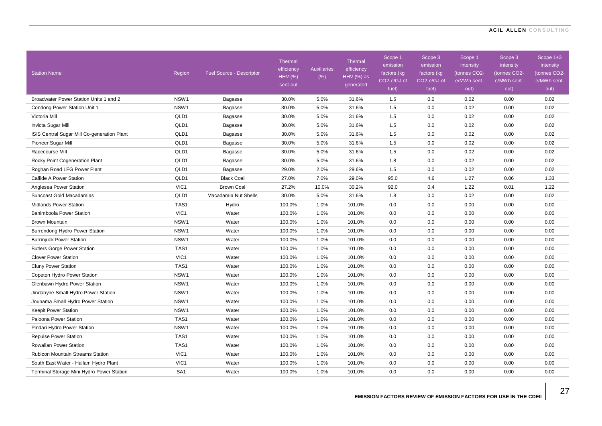| <b>Station Name</b>                         | Region           | <b>Fuel Source - Descriptor</b> | <b>Thermal</b><br>efficiency<br>HHV (%)<br>sent-out | <b>Auxiliaries</b><br>(% ) | Thermal<br>efficiency<br><b>HHV</b> (%) as<br>generated | Scope 1<br>emission<br>factors (kg<br>CO2-e/GJ of<br>fuel) | Scope 3<br>emission<br>factors (kg<br>CO2-e/GJ of<br>fuel) | Scope 1<br>intensity<br>(tonnes CO2-<br>e/MWh sent-<br>out) | Scope 3<br>intensity<br>(tonnes CO2-<br>e/MWh sent-<br>out) | Scope 1+3<br>intensity<br>(tonnes CO2-<br>e/MWh sent-<br>out) |
|---------------------------------------------|------------------|---------------------------------|-----------------------------------------------------|----------------------------|---------------------------------------------------------|------------------------------------------------------------|------------------------------------------------------------|-------------------------------------------------------------|-------------------------------------------------------------|---------------------------------------------------------------|
| Broadwater Power Station Units 1 and 2      | NSW <sub>1</sub> | Bagasse                         | 30.0%                                               | 5.0%                       | 31.6%                                                   | 1.5                                                        | 0.0                                                        | 0.02                                                        | 0.00                                                        | 0.02                                                          |
| Condong Power Station Unit 1                | NSW <sub>1</sub> | Bagasse                         | 30.0%                                               | 5.0%                       | 31.6%                                                   | 1.5                                                        | 0.0                                                        | 0.02                                                        | 0.00                                                        | 0.02                                                          |
| Victoria Mill                               | QLD1             | Bagasse                         | 30.0%                                               | 5.0%                       | 31.6%                                                   | 1.5                                                        | 0.0                                                        | 0.02                                                        | 0.00                                                        | 0.02                                                          |
| Invicta Sugar Mill                          | QLD1             | Bagasse                         | 30.0%                                               | 5.0%                       | 31.6%                                                   | 1.5                                                        | 0.0                                                        | 0.02                                                        | 0.00                                                        | 0.02                                                          |
| ISIS Central Sugar Mill Co-generation Plant | QLD1             | Bagasse                         | 30.0%                                               | 5.0%                       | 31.6%                                                   | 1.5                                                        | 0.0                                                        | 0.02                                                        | 0.00                                                        | 0.02                                                          |
| Pioneer Sugar Mill                          | QLD1             | Bagasse                         | 30.0%                                               | 5.0%                       | 31.6%                                                   | 1.5                                                        | 0.0                                                        | 0.02                                                        | 0.00                                                        | 0.02                                                          |
| Racecourse Mill                             | QLD1             | Bagasse                         | 30.0%                                               | 5.0%                       | 31.6%                                                   | 1.5                                                        | 0.0                                                        | 0.02                                                        | 0.00                                                        | 0.02                                                          |
| Rocky Point Cogeneration Plant              | QLD1             | Bagasse                         | 30.0%                                               | 5.0%                       | 31.6%                                                   | 1.8                                                        | 0.0                                                        | 0.02                                                        | 0.00                                                        | 0.02                                                          |
| Roghan Road LFG Power Plant                 | QLD1             | Bagasse                         | 29.0%                                               | 2.0%                       | 29.6%                                                   | 1.5                                                        | 0.0                                                        | 0.02                                                        | 0.00                                                        | 0.02                                                          |
| Callide A Power Station                     | QLD1             | <b>Black Coal</b>               | 27.0%                                               | 7.0%                       | 29.0%                                                   | 95.0                                                       | 4.6                                                        | 1.27                                                        | 0.06                                                        | 1.33                                                          |
| Anglesea Power Station                      | VIC1             | <b>Brown Coal</b>               | 27.2%                                               | 10.0%                      | 30.2%                                                   | 92.0                                                       | 0.4                                                        | 1.22                                                        | 0.01                                                        | 1.22                                                          |
| Suncoast Gold Macadamias                    | QLD1             | Macadamia Nut Shells            | 30.0%                                               | 5.0%                       | 31.6%                                                   | 1.8                                                        | 0.0                                                        | 0.02                                                        | 0.00                                                        | 0.02                                                          |
| Midlands Power Station                      | TAS1             | Hydro                           | 100.0%                                              | 1.0%                       | 101.0%                                                  | 0.0                                                        | 0.0                                                        | 0.00                                                        | 0.00                                                        | 0.00                                                          |
| Banimboola Power Station                    | VIC1             | Water                           | 100.0%                                              | 1.0%                       | 101.0%                                                  | 0.0                                                        | 0.0                                                        | 0.00                                                        | 0.00                                                        | 0.00                                                          |
| Brown Mountain                              | NSW <sub>1</sub> | Water                           | 100.0%                                              | 1.0%                       | 101.0%                                                  | 0.0                                                        | 0.0                                                        | 0.00                                                        | 0.00                                                        | 0.00                                                          |
| Burrendong Hydro Power Station              | NSW1             | Water                           | 100.0%                                              | 1.0%                       | 101.0%                                                  | 0.0                                                        | 0.0                                                        | 0.00                                                        | 0.00                                                        | 0.00                                                          |
| <b>Burrinjuck Power Station</b>             | NSW1             | Water                           | 100.0%                                              | 1.0%                       | 101.0%                                                  | 0.0                                                        | 0.0                                                        | 0.00                                                        | 0.00                                                        | 0.00                                                          |
| <b>Butlers Gorge Power Station</b>          | TAS1             | Water                           | 100.0%                                              | 1.0%                       | 101.0%                                                  | 0.0                                                        | 0.0                                                        | 0.00                                                        | 0.00                                                        | 0.00                                                          |
| <b>Clover Power Station</b>                 | VIC1             | Water                           | 100.0%                                              | 1.0%                       | 101.0%                                                  | 0.0                                                        | 0.0                                                        | 0.00                                                        | 0.00                                                        | 0.00                                                          |
| <b>Cluny Power Station</b>                  | TAS1             | Water                           | 100.0%                                              | 1.0%                       | 101.0%                                                  | 0.0                                                        | 0.0                                                        | 0.00                                                        | 0.00                                                        | 0.00                                                          |
| Copeton Hydro Power Station                 | NSW1             | Water                           | 100.0%                                              | 1.0%                       | 101.0%                                                  | 0.0                                                        | 0.0                                                        | 0.00                                                        | 0.00                                                        | 0.00                                                          |
| Glenbawn Hydro Power Station                | NSW1             | Water                           | 100.0%                                              | 1.0%                       | 101.0%                                                  | 0.0                                                        | 0.0                                                        | 0.00                                                        | 0.00                                                        | 0.00                                                          |
| Jindabyne Small Hydro Power Station         | NSW <sub>1</sub> | Water                           | 100.0%                                              | 1.0%                       | 101.0%                                                  | 0.0                                                        | 0.0                                                        | 0.00                                                        | 0.00                                                        | 0.00                                                          |
| Jounama Small Hydro Power Station           | NSW1             | Water                           | 100.0%                                              | 1.0%                       | 101.0%                                                  | 0.0                                                        | 0.0                                                        | 0.00                                                        | 0.00                                                        | 0.00                                                          |
| <b>Keepit Power Station</b>                 | NSW <sub>1</sub> | Water                           | 100.0%                                              | 1.0%                       | 101.0%                                                  | 0.0                                                        | 0.0                                                        | 0.00                                                        | 0.00                                                        | 0.00                                                          |
| Paloona Power Station                       | TAS1             | Water                           | 100.0%                                              | 1.0%                       | 101.0%                                                  | 0.0                                                        | 0.0                                                        | 0.00                                                        | 0.00                                                        | 0.00                                                          |
| Pindari Hydro Power Station                 | NSW <sub>1</sub> | Water                           | 100.0%                                              | 1.0%                       | 101.0%                                                  | 0.0                                                        | 0.0                                                        | 0.00                                                        | 0.00                                                        | 0.00                                                          |
| <b>Repulse Power Station</b>                | TAS1             | Water                           | 100.0%                                              | 1.0%                       | 101.0%                                                  | 0.0                                                        | 0.0                                                        | 0.00                                                        | 0.00                                                        | 0.00                                                          |
| <b>Rowallan Power Station</b>               | TAS1             | Water                           | 100.0%                                              | 1.0%                       | 101.0%                                                  | 0.0                                                        | 0.0                                                        | 0.00                                                        | 0.00                                                        | 0.00                                                          |
| <b>Rubicon Mountain Streams Station</b>     | VIC1             | Water                           | 100.0%                                              | 1.0%                       | 101.0%                                                  | 0.0                                                        | 0.0                                                        | 0.00                                                        | 0.00                                                        | 0.00                                                          |
| South East Water - Hallam Hydro Plant       | VIC1             | Water                           | 100.0%                                              | 1.0%                       | 101.0%                                                  | 0.0                                                        | 0.0                                                        | 0.00                                                        | 0.00                                                        | 0.00                                                          |
| Terminal Storage Mini Hydro Power Station   | SA <sub>1</sub>  | Water                           | 100.0%                                              | 1.0%                       | 101.0%                                                  | 0.0                                                        | 0.0                                                        | 0.00                                                        | 0.00                                                        | 0.00                                                          |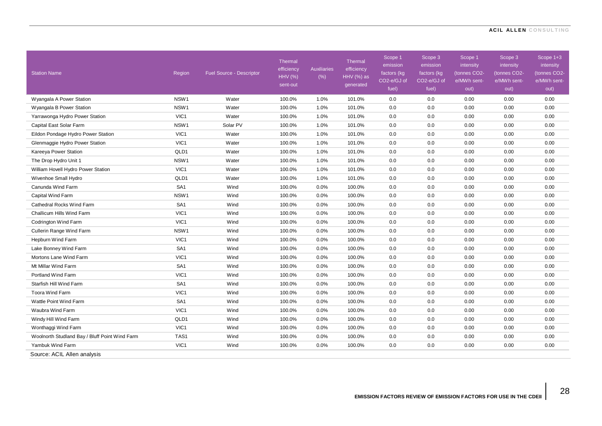28

| <b>Station Name</b>                            | Region           | <b>Fuel Source - Descriptor</b> | Thermal<br>efficiency<br><b>HHV (%)</b><br>sent-out | <b>Auxiliaries</b><br>$(\%)$ | <b>Thermal</b><br>efficiency<br>HHV (%) as<br>generated | Scope 1<br>emission<br>factors (kg<br>CO2-e/GJ of<br>fuel) | Scope 3<br>emission<br>factors (kg<br>CO2-e/GJ of<br>fuel) | Scope 1<br>intensity<br>(tonnes CO2-<br>e/MWh sent-<br>out) | Scope 3<br>intensity<br>(tonnes CO2-<br>e/MWh sent-<br>out) | Scope 1+3<br>intensity<br>(tonnes CO2-<br>e/MWh sent-<br>out) |
|------------------------------------------------|------------------|---------------------------------|-----------------------------------------------------|------------------------------|---------------------------------------------------------|------------------------------------------------------------|------------------------------------------------------------|-------------------------------------------------------------|-------------------------------------------------------------|---------------------------------------------------------------|
| Wyangala A Power Station                       | NSW <sub>1</sub> | Water                           | 100.0%                                              | 1.0%                         | 101.0%                                                  | 0.0                                                        | 0.0                                                        | 0.00                                                        | 0.00                                                        | 0.00                                                          |
| Wyangala B Power Station                       | NSW1             | Water                           | 100.0%                                              | 1.0%                         | 101.0%                                                  | 0.0                                                        | 0.0                                                        | 0.00                                                        | 0.00                                                        | 0.00                                                          |
| Yarrawonga Hydro Power Station                 | VIC1             | Water                           | 100.0%                                              | 1.0%                         | 101.0%                                                  | 0.0                                                        | 0.0                                                        | 0.00                                                        | 0.00                                                        | 0.00                                                          |
| Capital East Solar Farm                        | NSW1             | Solar PV                        | 100.0%                                              | 1.0%                         | 101.0%                                                  | 0.0                                                        | 0.0                                                        | 0.00                                                        | 0.00                                                        | 0.00                                                          |
| Eildon Pondage Hydro Power Station             | VIC <sub>1</sub> | Water                           | 100.0%                                              | 1.0%                         | 101.0%                                                  | 0.0                                                        | 0.0                                                        | 0.00                                                        | 0.00                                                        | 0.00                                                          |
| Glenmaggie Hydro Power Station                 | VIC1             | Water                           | 100.0%                                              | 1.0%                         | 101.0%                                                  | 0.0                                                        | 0.0                                                        | 0.00                                                        | 0.00                                                        | 0.00                                                          |
| Kareeya Power Station                          | QLD1             | Water                           | 100.0%                                              | 1.0%                         | 101.0%                                                  | 0.0                                                        | 0.0                                                        | 0.00                                                        | 0.00                                                        | 0.00                                                          |
| The Drop Hydro Unit 1                          | NSW1             | Water                           | 100.0%                                              | 1.0%                         | 101.0%                                                  | 0.0                                                        | 0.0                                                        | 0.00                                                        | 0.00                                                        | 0.00                                                          |
| William Hovell Hydro Power Station             | VIC1             | Water                           | 100.0%                                              | 1.0%                         | 101.0%                                                  | 0.0                                                        | 0.0                                                        | 0.00                                                        | 0.00                                                        | 0.00                                                          |
| Wivenhoe Small Hydro                           | QLD1             | Water                           | 100.0%                                              | 1.0%                         | 101.0%                                                  | 0.0                                                        | 0.0                                                        | 0.00                                                        | 0.00                                                        | 0.00                                                          |
| Canunda Wind Farm                              | SA <sub>1</sub>  | Wind                            | 100.0%                                              | 0.0%                         | 100.0%                                                  | 0.0                                                        | 0.0                                                        | 0.00                                                        | 0.00                                                        | 0.00                                                          |
| Capital Wind Farm                              | NSW <sub>1</sub> | Wind                            | 100.0%                                              | 0.0%                         | 100.0%                                                  | 0.0                                                        | 0.0                                                        | 0.00                                                        | 0.00                                                        | 0.00                                                          |
| Cathedral Rocks Wind Farm                      | SA <sub>1</sub>  | Wind                            | 100.0%                                              | 0.0%                         | 100.0%                                                  | 0.0                                                        | 0.0                                                        | 0.00                                                        | 0.00                                                        | 0.00                                                          |
| Challicum Hills Wind Farm                      | VIC1             | Wind                            | 100.0%                                              | 0.0%                         | 100.0%                                                  | 0.0                                                        | 0.0                                                        | 0.00                                                        | 0.00                                                        | 0.00                                                          |
| Codrington Wind Farm                           | VIC1             | Wind                            | 100.0%                                              | 0.0%                         | 100.0%                                                  | 0.0                                                        | 0.0                                                        | 0.00                                                        | 0.00                                                        | 0.00                                                          |
| Cullerin Range Wind Farm                       | NSW1             | Wind                            | 100.0%                                              | 0.0%                         | 100.0%                                                  | 0.0                                                        | 0.0                                                        | 0.00                                                        | 0.00                                                        | 0.00                                                          |
| Hepburn Wind Farm                              | VIC1             | Wind                            | 100.0%                                              | 0.0%                         | 100.0%                                                  | 0.0                                                        | 0.0                                                        | 0.00                                                        | 0.00                                                        | 0.00                                                          |
| Lake Bonney Wind Farm                          | SA <sub>1</sub>  | Wind                            | 100.0%                                              | 0.0%                         | 100.0%                                                  | 0.0                                                        | 0.0                                                        | 0.00                                                        | 0.00                                                        | 0.00                                                          |
| Mortons Lane Wind Farm                         | VIC <sub>1</sub> | Wind                            | 100.0%                                              | 0.0%                         | 100.0%                                                  | 0.0                                                        | 0.0                                                        | 0.00                                                        | 0.00                                                        | 0.00                                                          |
| Mt Millar Wind Farm                            | SA <sub>1</sub>  | Wind                            | 100.0%                                              | 0.0%                         | 100.0%                                                  | 0.0                                                        | 0.0                                                        | 0.00                                                        | 0.00                                                        | 0.00                                                          |
| Portland Wind Farm                             | VIC1             | Wind                            | 100.0%                                              | 0.0%                         | 100.0%                                                  | 0.0                                                        | 0.0                                                        | 0.00                                                        | 0.00                                                        | 0.00                                                          |
| Starfish Hill Wind Farm                        | SA <sub>1</sub>  | Wind                            | 100.0%                                              | 0.0%                         | 100.0%                                                  | 0.0                                                        | 0.0                                                        | 0.00                                                        | 0.00                                                        | 0.00                                                          |
| Toora Wind Farm                                | VIC1             | Wind                            | 100.0%                                              | 0.0%                         | 100.0%                                                  | 0.0                                                        | 0.0                                                        | 0.00                                                        | 0.00                                                        | 0.00                                                          |
| Wattle Point Wind Farm                         | SA <sub>1</sub>  | Wind                            | 100.0%                                              | 0.0%                         | 100.0%                                                  | 0.0                                                        | 0.0                                                        | 0.00                                                        | 0.00                                                        | 0.00                                                          |
| Waubra Wind Farm                               | VIC <sub>1</sub> | Wind                            | 100.0%                                              | 0.0%                         | 100.0%                                                  | 0.0                                                        | 0.0                                                        | 0.00                                                        | 0.00                                                        | 0.00                                                          |
| Windy Hill Wind Farm                           | QLD1             | Wind                            | 100.0%                                              | 0.0%                         | 100.0%                                                  | 0.0                                                        | 0.0                                                        | 0.00                                                        | 0.00                                                        | 0.00                                                          |
| Wonthaggi Wind Farm                            | VIC1             | Wind                            | 100.0%                                              | 0.0%                         | 100.0%                                                  | 0.0                                                        | 0.0                                                        | 0.00                                                        | 0.00                                                        | 0.00                                                          |
| Woolnorth Studland Bay / Bluff Point Wind Farm | TAS1             | Wind                            | 100.0%                                              | 0.0%                         | 100.0%                                                  | 0.0                                                        | 0.0                                                        | 0.00                                                        | 0.00                                                        | 0.00                                                          |
| Yambuk Wind Farm                               | VIC1             | Wind                            | 100.0%                                              | 0.0%                         | 100.0%                                                  | 0.0                                                        | 0.0                                                        | 0.00                                                        | 0.00                                                        | 0.00                                                          |
| Source: ACIL Allen analysis                    |                  |                                 |                                                     |                              |                                                         |                                                            |                                                            |                                                             |                                                             |                                                               |